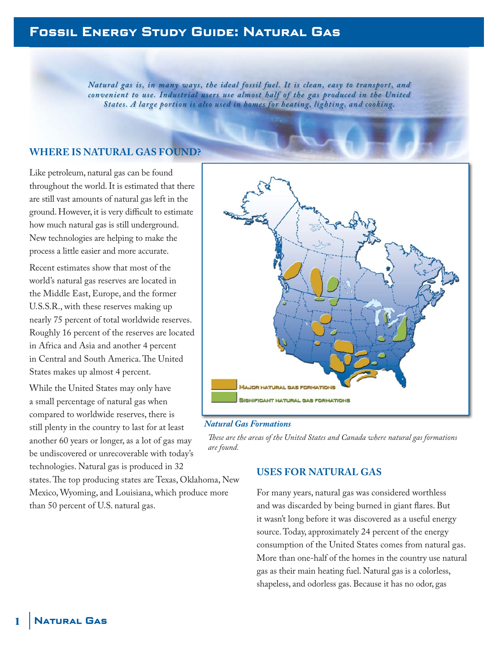# **Fossil Energy Study Guide: Natural Gas**

*Natural gas is, in many ways, the ideal fossil fuel. It is clean, easy to transport, and* convenient to use. Industrial users use almost half of the gas produced in the United *States. A large portion is also used in homes for heating, lighting, and cooking.*

### **WHERE IS NATURAL GAS FOUND?**

Like petroleum, natural gas can be found throughout the world. It is estimated that there are still vast amounts of natural gas left in the ground. However, it is very difficult to estimate how much natural gas is still underground. New technologies are helping to make the process a little easier and more accurate.

Recent estimates show that most of the world's natural gas reserves are located in the Middle East, Europe, and the former U.S.S.R., with these reserves making up nearly 75 percent of total worldwide reserves. Roughly 16 percent of the reserves are located in Africa and Asia and another 4 percent in Central and South America. The United States makes up almost 4 percent.

While the United States may only have a small percentage of natural gas when compared to worldwide reserves, there is still plenty in the country to last for at least another 60 years or longer, as a lot of gas may be undiscovered or unrecoverable with today's technologies. Natural gas is produced in 32

states. The top producing states are Texas, Oklahoma, New Mexico, Wyoming, and Louisiana, which produce more than 50 percent of U.S. natural gas.



#### *Natural Gas Formations*

*Th ese are the areas of the United States and Canada where natural gas formations are found.*

## **USES FOR NATURAL GAS**

For many years, natural gas was considered worthless and was discarded by being burned in giant flares. But it wasn't long before it was discovered as a useful energy source. Today, approximately 24 percent of the energy consumption of the United States comes from natural gas. More than one-half of the homes in the country use natural gas as their main heating fuel. Natural gas is a colorless, shapeless, and odorless gas. Because it has no odor, gas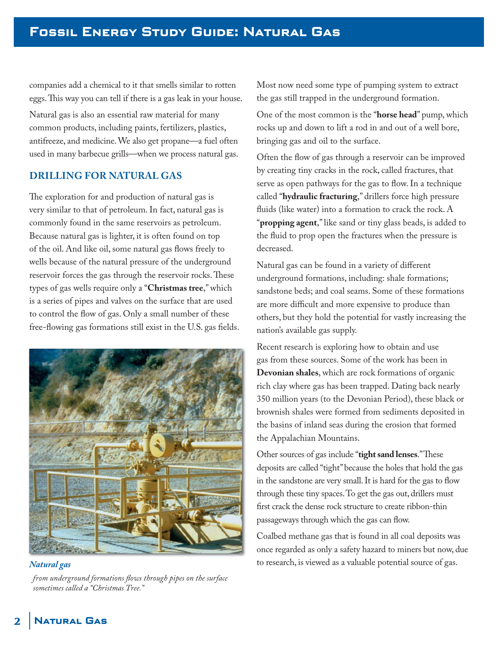companies add a chemical to it that smells similar to rotten eggs. This way you can tell if there is a gas leak in your house.

Natural gas is also an essential raw material for many common products, including paints, fertilizers, plastics, antifreeze, and medicine. We also get propane—a fuel often used in many barbecue grills—when we process natural gas.

# **DRILLING FOR NATURAL GAS**

The exploration for and production of natural gas is very similar to that of petroleum. In fact, natural gas is commonly found in the same reservoirs as petroleum. Because natural gas is lighter, it is often found on top of the oil. And like oil, some natural gas flows freely to wells because of the natural pressure of the underground reservoir forces the gas through the reservoir rocks. These types of gas wells require only a "**Christmas tree**," which is a series of pipes and valves on the surface that are used to control the flow of gas. Only a small number of these free-flowing gas formations still exist in the U.S. gas fields.



*from underground formations flows through pipes on the surface sometimes called a "Christmas Tree."* 

Most now need some type of pumping system to extract the gas still trapped in the underground formation.

One of the most common is the "**horse head**" pump, which rocks up and down to lift a rod in and out of a well bore, bringing gas and oil to the surface.

Often the flow of gas through a reservoir can be improved by creating tiny cracks in the rock, called fractures, that serve as open pathways for the gas to flow. In a technique called "**hydraulic fracturing**," drillers force high pressure fluids (like water) into a formation to crack the rock.  $A$ "**propping agent**," like sand or tiny glass beads, is added to the fluid to prop open the fractures when the pressure is decreased.

Natural gas can be found in a variety of different underground formations, including: shale formations; sandstone beds; and coal seams. Some of these formations are more difficult and more expensive to produce than others, but they hold the potential for vastly increasing the nation's available gas supply.

Recent research is exploring how to obtain and use gas from these sources. Some of the work has been in **Devonian shales**, which are rock formations of organic rich clay where gas has been trapped. Dating back nearly 350 million years (to the Devonian Period), these black or brownish shales were formed from sediments deposited in the basins of inland seas during the erosion that formed the Appalachian Mountains.

Other sources of gas include "tight sand lenses." These deposits are called "tight" because the holes that hold the gas in the sandstone are very small. It is hard for the gas to flow through these tiny spaces. To get the gas out, drillers must first crack the dense rock structure to create ribbon-thin passageways through which the gas can flow.

Coalbed methane gas that is found in all coal deposits was once regarded as only a safety hazard to miners but now, due *Natural gas* to research, is viewed as a valuable potential source of gas.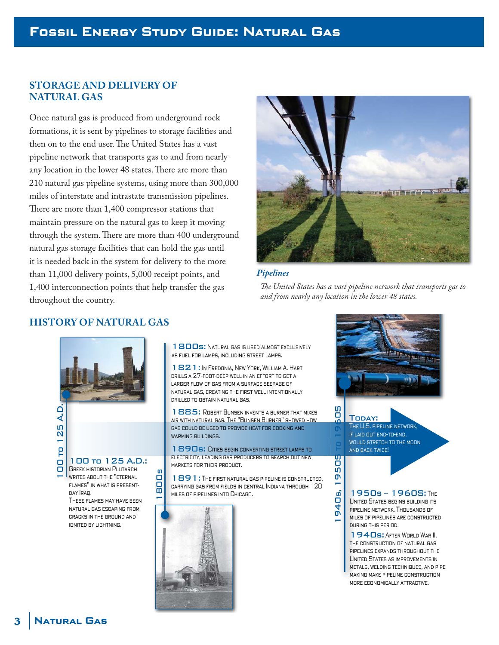# **Fossil Energy Study Guide: Natural Gas**

### **STORAGE AND DELIVERY OF NATURAL GAS**

Once natural gas is produced from underground rock formations, it is sent by pipelines to storage facilities and then on to the end user. The United States has a vast pipeline network that transports gas to and from nearly any location in the lower 48 states. There are more than 210 natural gas pipeline systems, using more than 300,000 miles of interstate and intrastate transmission pipelines. There are more than 1,400 compressor stations that maintain pressure on the natural gas to keep it moving through the system. There are more than 400 underground natural gas storage facilities that can hold the gas until it is needed back in the system for delivery to the more than 11,000 delivery points, 5,000 receipt points, and 1,400 interconnection points that help transfer the gas throughout the country.



The United States has a vast pipeline network that transports gas to

*and from nearly any location in the lower 48 states.*

*Pipelines*



Today: The U.S. pipeline network, if laid out end-to-end,

would stretch to the moon and back twice!

#### 1950s – 1960S: The United States begins building its pipeline network. Thousands of miles of pipelines are constructed during this period.

1940s: After World War II, the construction of natural gas pipelines expands throughout the United States as improvements in metals, welding techniques, and pipe making make pipeline construction more economically attractive.

# **HISTORY OF NATURAL GAS**

100<br>
100 to 125 A.D.<br>
100 to 125 A.D.<br>
1890s: CIRES BEEN CONVERTING TOR COOKING AND<br>
1890s: CIRES BEEN CONVERTING SARCH OUT NEW<br>
1890s: CIRES BEEN CONVERTING SARCH OUT NEW<br>
1890s: CIRES BEEN CONVERTING STREET LAMPS TO<br>
189 100 to 125 A.D.: Greek historian Plutarch **WRITES ABOUT THE "ETERNAL** flames" in what is presentday Iraq. 1800 ທ

These flames may have been natural gas escaping from cracks in the ground and ignited by lightning.

1800s: Natural GAS IS USED ALMOST EXCLUSIVELY as fuel for lamps, including street lamps. as

1821: In Fredonia, New York, William A. Hart drills a 27-foot-deep well in an effort to get a larger flow of gas from a surface seepage of natural gas, creating the first well intentionally drilled to obtain natural gas.

1885: ROBERT BUNSEN INVENTS A BURNER THAT MIXES air with natural gas. The "Bunsen Burner" showed how gas could be used to provide heat for cooking and WARMING BUILDINGS.

1890s: CITIES BEGIN CONVERTING STREET LAMPS TO electricity, leading gas producers to search out new markets for their product.

1891: The first natural gas pipeline is constructed, carrying gas from fields in central Indiana through 120 miles of pipelines into Chicago.

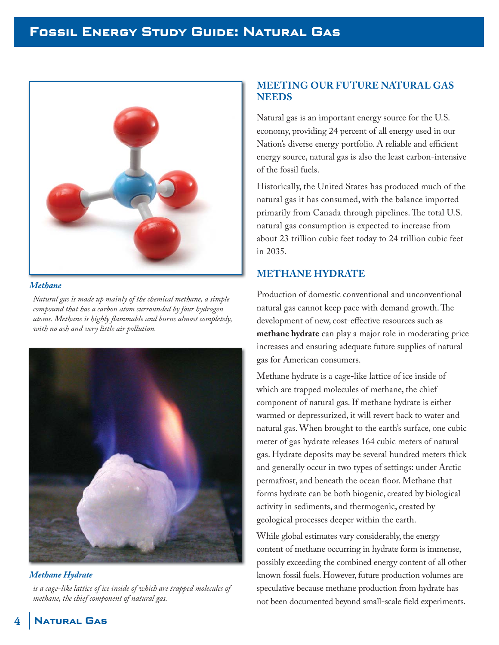

#### *Methane*

*Natural gas is made up mainly of the chemical methane, a simple compound that has a carbon atom surrounded by four hydrogen*  atoms. Methane is highly flammable and burns almost completely, *with no ash and very little air pollution.*



*is a cage-like lattice of ice inside of which are trapped molecules of methane, the chief component of natural gas.*

### **MEETING OUR FUTURE NATURAL GAS NEEDS**

Natural gas is an important energy source for the U.S. economy, providing 24 percent of all energy used in our Nation's diverse energy portfolio. A reliable and efficient energy source, natural gas is also the least carbon-intensive of the fossil fuels.

Historically, the United States has produced much of the natural gas it has consumed, with the balance imported primarily from Canada through pipelines. The total U.S. natural gas consumption is expected to increase from about 23 trillion cubic feet today to 24 trillion cubic feet in 2035.

# **METHANE HYDRATE**

Production of domestic conventional and unconventional natural gas cannot keep pace with demand growth. The development of new, cost-effective resources such as **methane hydrate** can play a major role in moderating price increases and ensuring adequate future supplies of natural gas for American consumers.

Methane hydrate is a cage-like lattice of ice inside of which are trapped molecules of methane, the chief component of natural gas. If methane hydrate is either warmed or depressurized, it will revert back to water and natural gas. When brought to the earth's surface, one cubic meter of gas hydrate releases 164 cubic meters of natural gas. Hydrate deposits may be several hundred meters thick and generally occur in two types of settings: under Arctic permafrost, and beneath the ocean floor. Methane that forms hydrate can be both biogenic, created by biological activity in sediments, and thermogenic, created by geological processes deeper within the earth.

While global estimates vary considerably, the energy content of methane occurring in hydrate form is immense, possibly exceeding the combined energy content of all other known fossil fuels. However, future production volumes are speculative because methane production from hydrate has not been documented beyond small-scale field experiments.